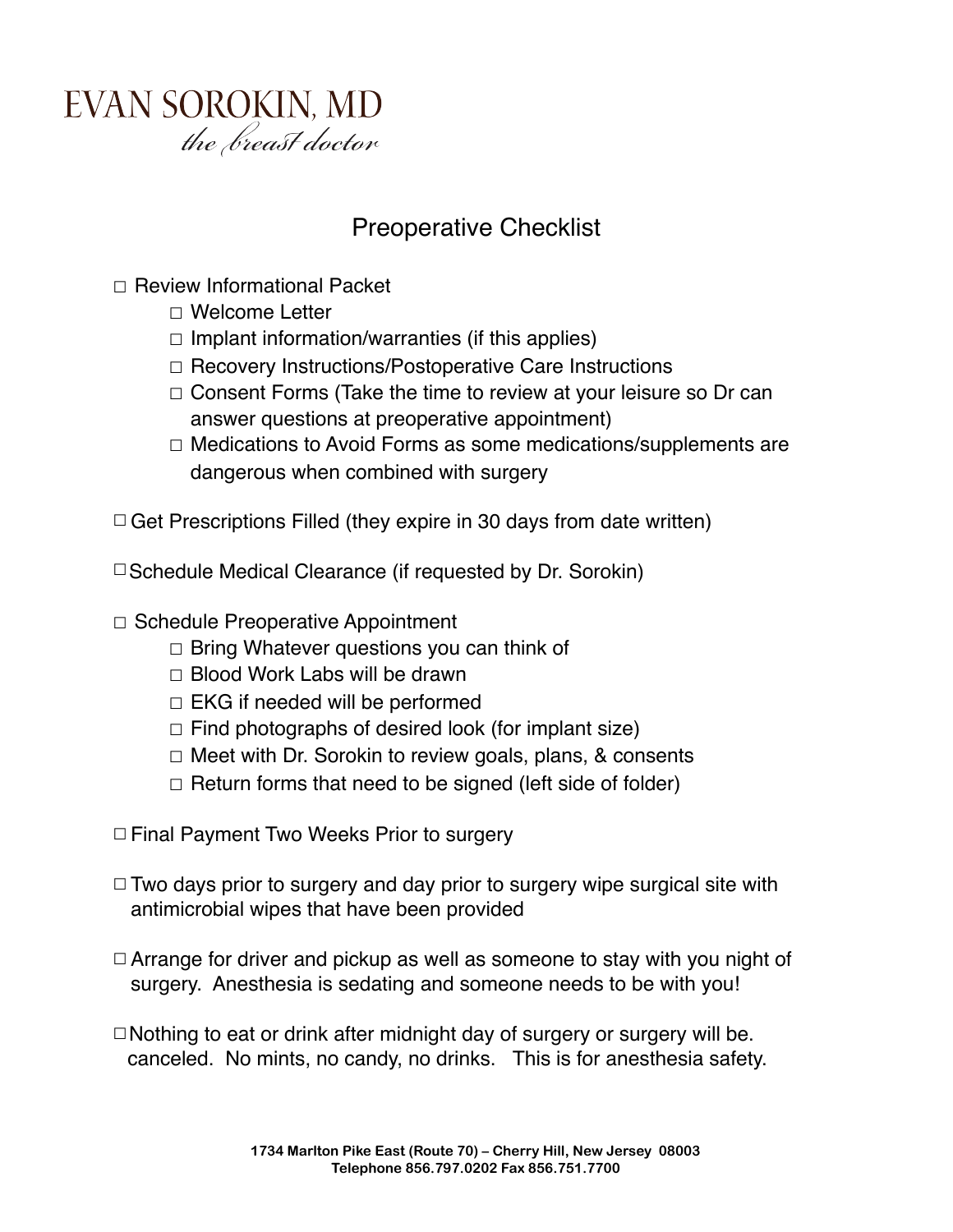

## Preoperative Checklist

- ☐ Review Informational Packet
	- ☐ Welcome Letter
	- $\Box$  Implant information/warranties (if this applies)
	- ☐ Recovery Instructions/Postoperative Care Instructions
	- ☐ Consent Forms (Take the time to review at your leisure so Dr can answer questions at preoperative appointment)
	- ☐ Medications to Avoid Forms as some medications/supplements are dangerous when combined with surgery

 $\Box$  Get Prescriptions Filled (they expire in 30 days from date written)

☐Schedule Medical Clearance (if requested by Dr. Sorokin)

- ☐ Schedule Preoperative Appointment
	- $\Box$  Bring Whatever questions you can think of
	- ☐ Blood Work Labs will be drawn
	- $\Box$  EKG if needed will be performed
	- $\Box$  Find photographs of desired look (for implant size)
	- ☐ Meet with Dr. Sorokin to review goals, plans, & consents
	- $\Box$  Return forms that need to be signed (left side of folder)
- ☐Final Payment Two Weeks Prior to surgery
- $\Box$  Two days prior to surgery and day prior to surgery wipe surgical site with antimicrobial wipes that have been provided
- $\Box$  Arrange for driver and pickup as well as someone to stay with you night of surgery. Anesthesia is sedating and someone needs to be with you!
- $\Box$ Nothing to eat or drink after midnight day of surgery or surgery will be. canceled. No mints, no candy, no drinks. This is for anesthesia safety.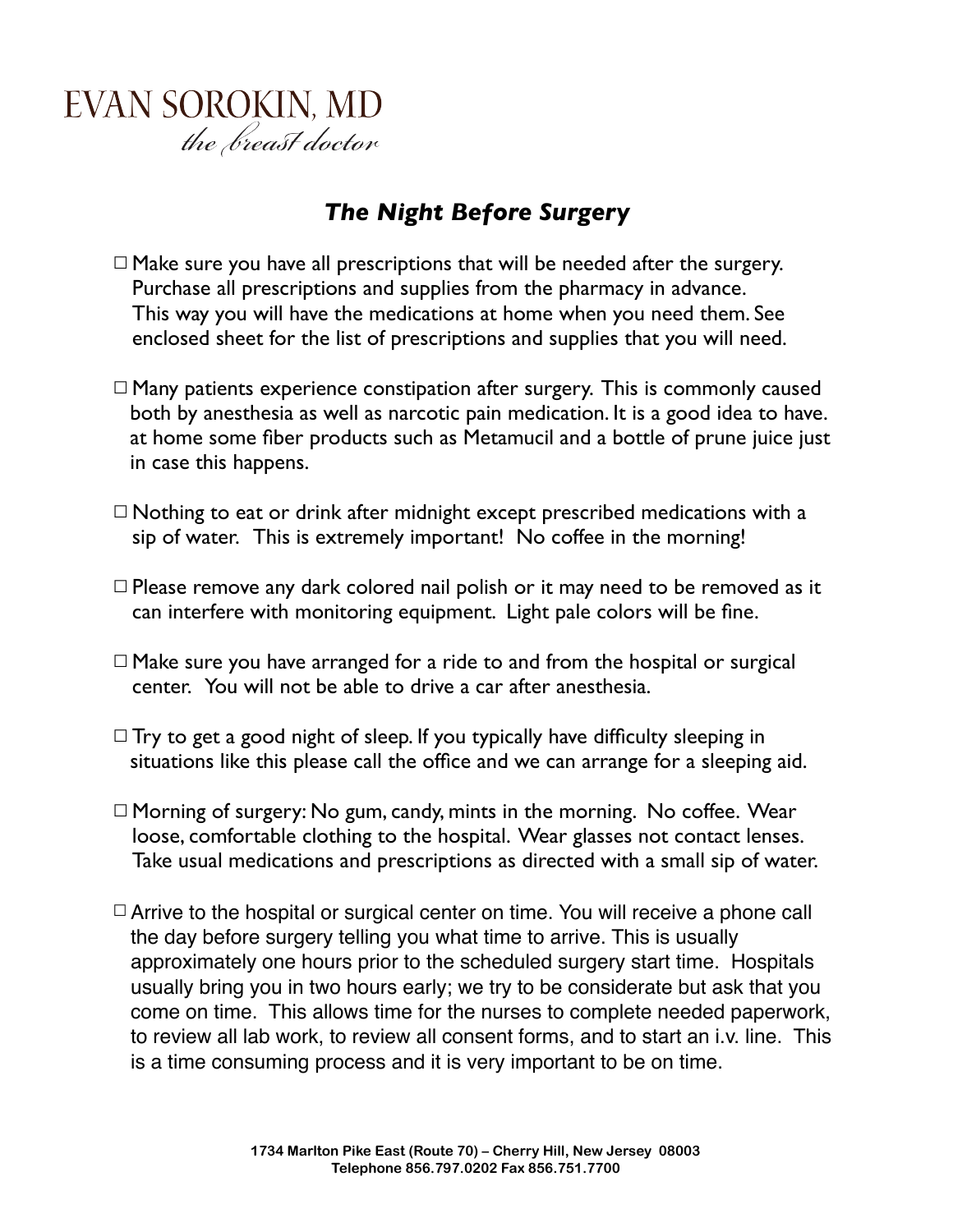## *The Night Before Surgery*

- $\Box$  Make sure you have all prescriptions that will be needed after the surgery. Purchase all prescriptions and supplies from the pharmacy in advance. This way you will have the medications at home when you need them. See enclosed sheet for the list of prescriptions and supplies that you will need.
- $\Box$  Many patients experience constipation after surgery. This is commonly caused both by anesthesia as well as narcotic pain medication. It is a good idea to have. at home some fiber products such as Metamucil and a bottle of prune juice just in case this happens.
- $\Box$  Nothing to eat or drink after midnight except prescribed medications with a sip of water. This is extremely important! No coffee in the morning!
- $\Box$  Please remove any dark colored nail polish or it may need to be removed as it can interfere with monitoring equipment. Light pale colors will be fine.
- $\Box$  Make sure you have arranged for a ride to and from the hospital or surgical center. You will not be able to drive a car after anesthesia.
- $\Box$  Try to get a good night of sleep. If you typically have difficulty sleeping in situations like this please call the office and we can arrange for a sleeping aid.
- $\Box$  Morning of surgery: No gum, candy, mints in the morning. No coffee. Wear loose, comfortable clothing to the hospital. Wear glasses not contact lenses. Take usual medications and prescriptions as directed with a small sip of water.
- $\Box$  Arrive to the hospital or surgical center on time. You will receive a phone call the day before surgery telling you what time to arrive. This is usually approximately one hours prior to the scheduled surgery start time. Hospitals usually bring you in two hours early; we try to be considerate but ask that you come on time. This allows time for the nurses to complete needed paperwork, to review all lab work, to review all consent forms, and to start an i.v. line. This is a time consuming process and it is very important to be on time.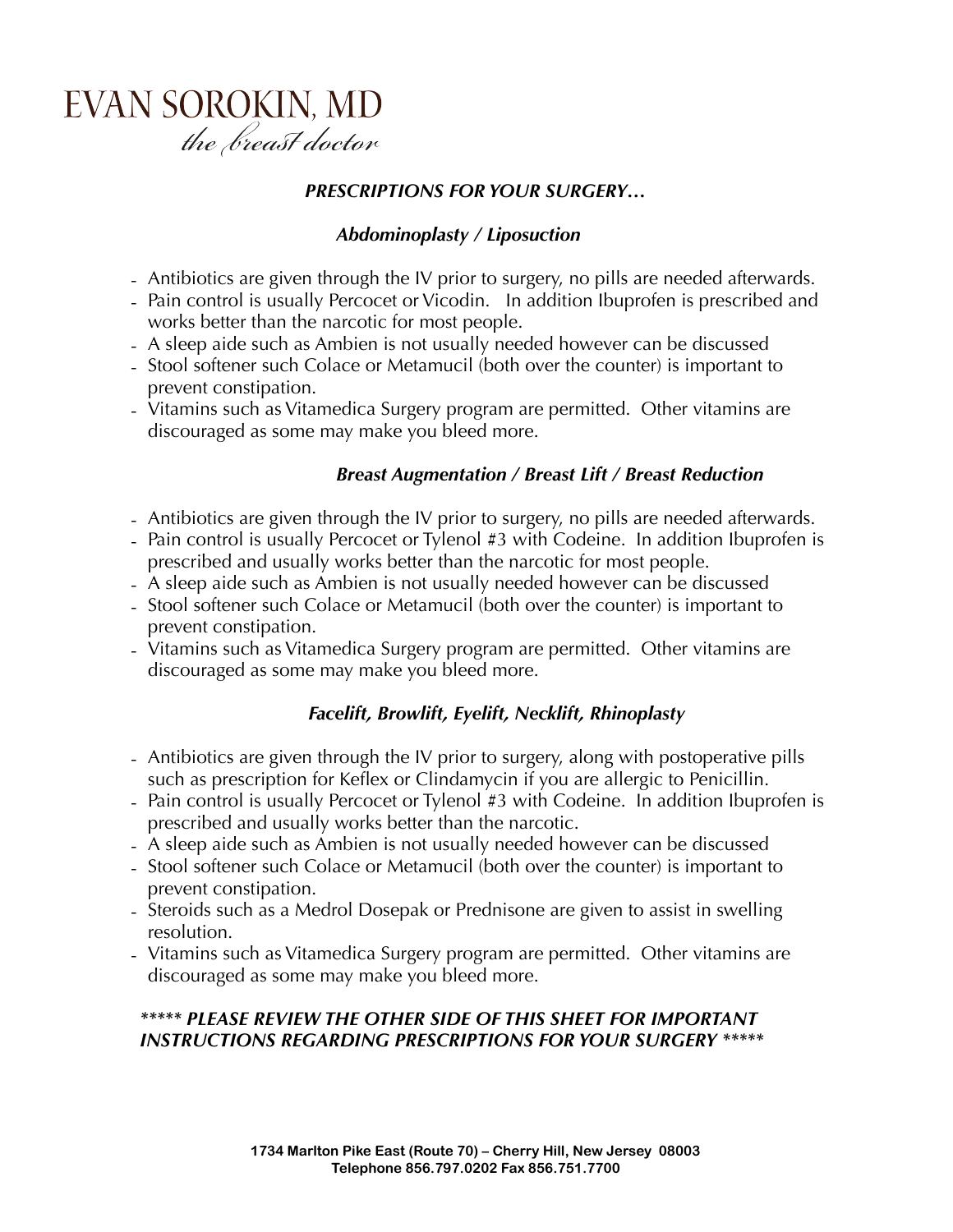#### *PRESCRIPTIONS FOR YOUR SURGERY…*

### *Abdominoplasty / Liposuction*

- Antibiotics are given through the IV prior to surgery, no pills are needed afterwards.
- Pain control is usually Percocet or Vicodin. In addition Ibuprofen is prescribed and works better than the narcotic for most people.
- A sleep aide such as Ambien is not usually needed however can be discussed
- Stool softener such Colace or Metamucil (both over the counter) is important to prevent constipation.
- Vitamins such as Vitamedica Surgery program are permitted. Other vitamins are discouraged as some may make you bleed more.

### *Breast Augmentation / Breast Lift / Breast Reduction*

- Antibiotics are given through the IV prior to surgery, no pills are needed afterwards.
- Pain control is usually Percocet or Tylenol #3 with Codeine. In addition Ibuprofen is prescribed and usually works better than the narcotic for most people.
- A sleep aide such as Ambien is not usually needed however can be discussed
- Stool softener such Colace or Metamucil (both over the counter) is important to prevent constipation.
- Vitamins such as Vitamedica Surgery program are permitted. Other vitamins are discouraged as some may make you bleed more.

## *Facelift, Browlift, Eyelift, Necklift, Rhinoplasty*

- Antibiotics are given through the IV prior to surgery, along with postoperative pills such as prescription for Keflex or Clindamycin if you are allergic to Penicillin.
- Pain control is usually Percocet or Tylenol #3 with Codeine. In addition Ibuprofen is prescribed and usually works better than the narcotic.
- A sleep aide such as Ambien is not usually needed however can be discussed
- Stool softener such Colace or Metamucil (both over the counter) is important to prevent constipation.
- Steroids such as a Medrol Dosepak or Prednisone are given to assist in swelling resolution.
- Vitamins such as Vitamedica Surgery program are permitted. Other vitamins are discouraged as some may make you bleed more.

### *\*\*\*\*\* PLEASE REVIEW THE OTHER SIDE OF THIS SHEET FOR IMPORTANT INSTRUCTIONS REGARDING PRESCRIPTIONS FOR YOUR SURGERY \*\*\*\*\**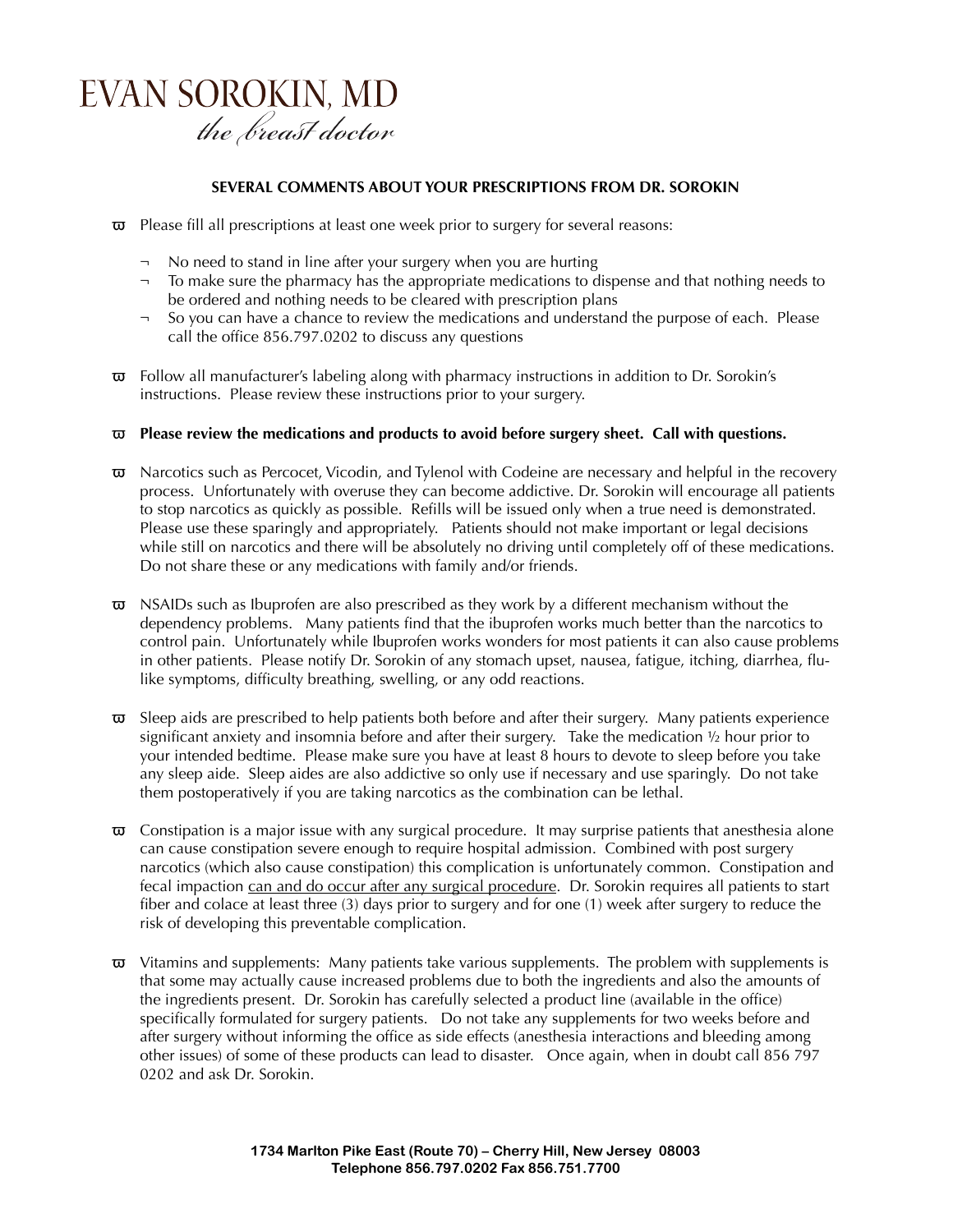#### **SEVERAL COMMENTS ABOUT YOUR PRESCRIPTIONS FROM DR. SOROKIN**

- $\overline{\omega}$  Please fill all prescriptions at least one week prior to surgery for several reasons:
	- ¬ No need to stand in line after your surgery when you are hurting
	- $\neg$  To make sure the pharmacy has the appropriate medications to dispense and that nothing needs to be ordered and nothing needs to be cleared with prescription plans
	- ¬ So you can have a chance to review the medications and understand the purpose of each. Please call the office 856.797.0202 to discuss any questions
- $\overline{\omega}$  Follow all manufacturer's labeling along with pharmacy instructions in addition to Dr. Sorokin's instructions. Please review these instructions prior to your surgery.

#### ϖ **Please review the medications and products to avoid before surgery sheet. Call with questions.**

- $\overline{\omega}$  Narcotics such as Percocet, Vicodin, and Tylenol with Codeine are necessary and helpful in the recovery process. Unfortunately with overuse they can become addictive. Dr. Sorokin will encourage all patients to stop narcotics as quickly as possible. Refills will be issued only when a true need is demonstrated. Please use these sparingly and appropriately. Patients should not make important or legal decisions while still on narcotics and there will be absolutely no driving until completely off of these medications. Do not share these or any medications with family and/or friends.
- $\overline{\omega}$  NSAIDs such as Ibuprofen are also prescribed as they work by a different mechanism without the dependency problems. Many patients find that the ibuprofen works much better than the narcotics to control pain. Unfortunately while Ibuprofen works wonders for most patients it can also cause problems in other patients. Please notify Dr. Sorokin of any stomach upset, nausea, fatigue, itching, diarrhea, flulike symptoms, difficulty breathing, swelling, or any odd reactions.
- Sleep aids are prescribed to help patients both before and after their surgery. Many patients experience significant anxiety and insomnia before and after their surgery. Take the medication 1/2 hour prior to your intended bedtime. Please make sure you have at least 8 hours to devote to sleep before you take any sleep aide. Sleep aides are also addictive so only use if necessary and use sparingly. Do not take them postoperatively if you are taking narcotics as the combination can be lethal.
- $\overline{\omega}$  Constipation is a major issue with any surgical procedure. It may surprise patients that anesthesia alone can cause constipation severe enough to require hospital admission. Combined with post surgery narcotics (which also cause constipation) this complication is unfortunately common. Constipation and fecal impaction can and do occur after any surgical procedure. Dr. Sorokin requires all patients to start fiber and colace at least three (3) days prior to surgery and for one (1) week after surgery to reduce the risk of developing this preventable complication.
- $\overline{\omega}$  Vitamins and supplements: Many patients take various supplements. The problem with supplements is that some may actually cause increased problems due to both the ingredients and also the amounts of the ingredients present. Dr. Sorokin has carefully selected a product line (available in the office) specifically formulated for surgery patients. Do not take any supplements for two weeks before and after surgery without informing the office as side effects (anesthesia interactions and bleeding among other issues) of some of these products can lead to disaster. Once again, when in doubt call 856 797 0202 and ask Dr. Sorokin.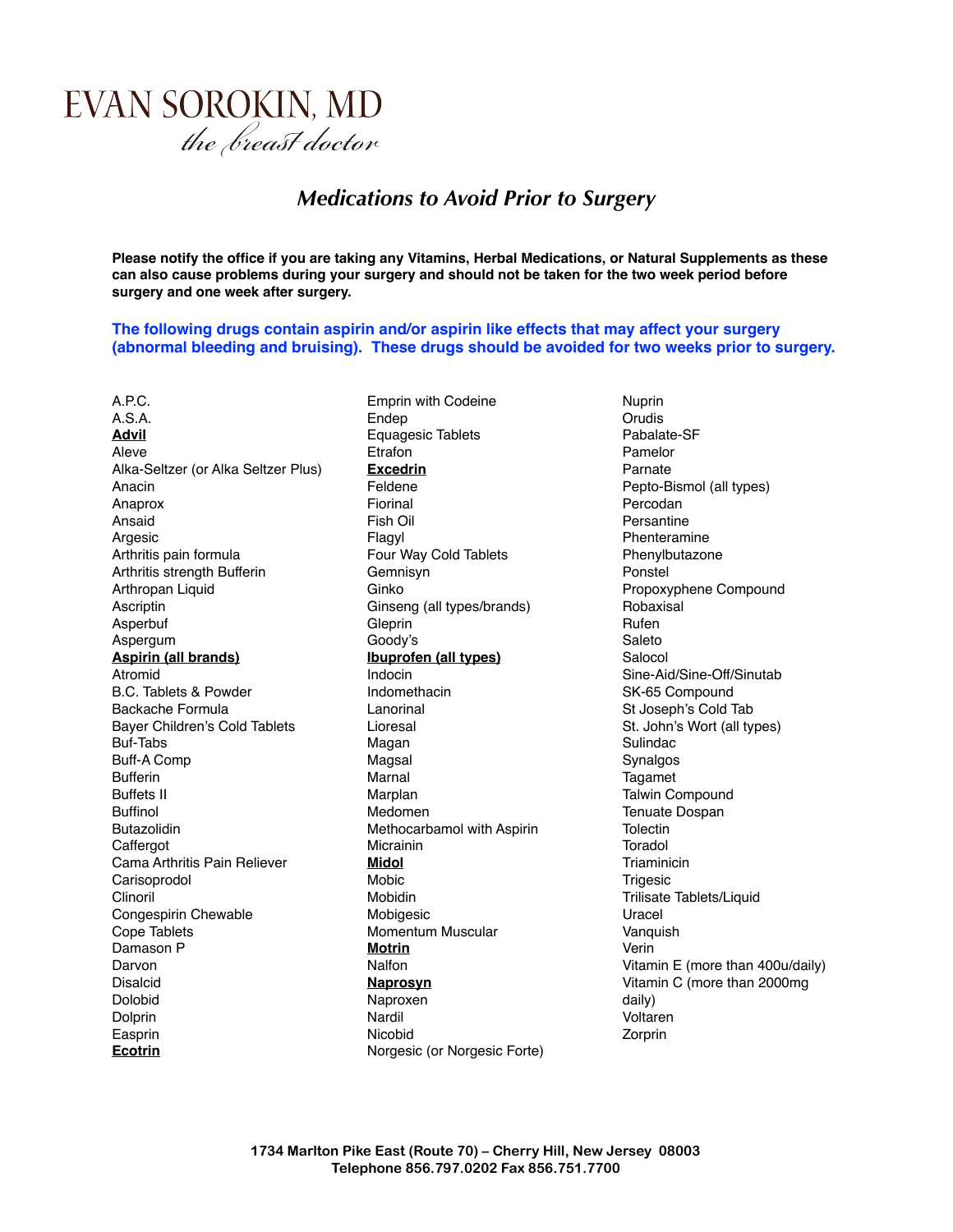## *Medications to Avoid Prior to Surgery*

**Please notify the office if you are taking any Vitamins, Herbal Medications, or Natural Supplements as these can also cause problems during your surgery and should not be taken for the two week period before surgery and one week after surgery.**

**The following drugs contain aspirin and/or aspirin like effects that may affect your surgery (abnormal bleeding and bruising). These drugs should be avoided for two weeks prior to surgery.**

A.P.C. A.S.A. **Advil** Aleve Alka-Seltzer (or Alka Seltzer Plus) Anacin Anaprox Ansaid Argesic Arthritis pain formula Arthritis strength Bufferin Arthropan Liquid Ascriptin Asperbuf Aspergum **Aspirin (all brands)** Atromid B.C. Tablets & Powder Backache Formula Bayer Children's Cold Tablets Buf-Tabs Buff-A Comp Bufferin Buffets II Buffinol Butazolidin **Caffergot** Cama Arthritis Pain Reliever Carisoprodol Clinoril Congespirin Chewable Cope Tablets Damason P Darvon Disalcid Dolobid Dolprin Easprin **Ecotrin**

Emprin with Codeine Endep Equagesic Tablets **Etrafon Excedrin** Feldene Fiorinal Fish Oil Flagyl Four Way Cold Tablets Gemnisyn Ginko Ginseng (all types/brands) **Gleprin** Goody's **Ibuprofen (all types)** Indocin Indomethacin Lanorinal Lioresal Magan Magsal Marnal Marplan Medomen Methocarbamol with Aspirin **Micrainin Midol** Mobic Mobidin Mobigesic Momentum Muscular **Motrin** Nalfon **Naprosyn** Naproxen Nardil Nicobid Norgesic (or Norgesic Forte) Nuprin Orudis Pabalate-SF Pamelor Parnate Pepto-Bismol (all types) Percodan Persantine Phenteramine Phenylbutazone Ponstel Propoxyphene Compound Robaxisal Rufen Saleto Salocol Sine-Aid/Sine-Off/Sinutab SK-65 Compound St Joseph's Cold Tab St. John's Wort (all types) Sulindac Synalgos Tagamet Talwin Compound Tenuate Dospan **Tolectin** Toradol **Triaminicin Trigesic** Trilisate Tablets/Liquid Uracel Vanquish Verin Vitamin E (more than 400u/daily) Vitamin C (more than 2000mg daily) Voltaren Zorprin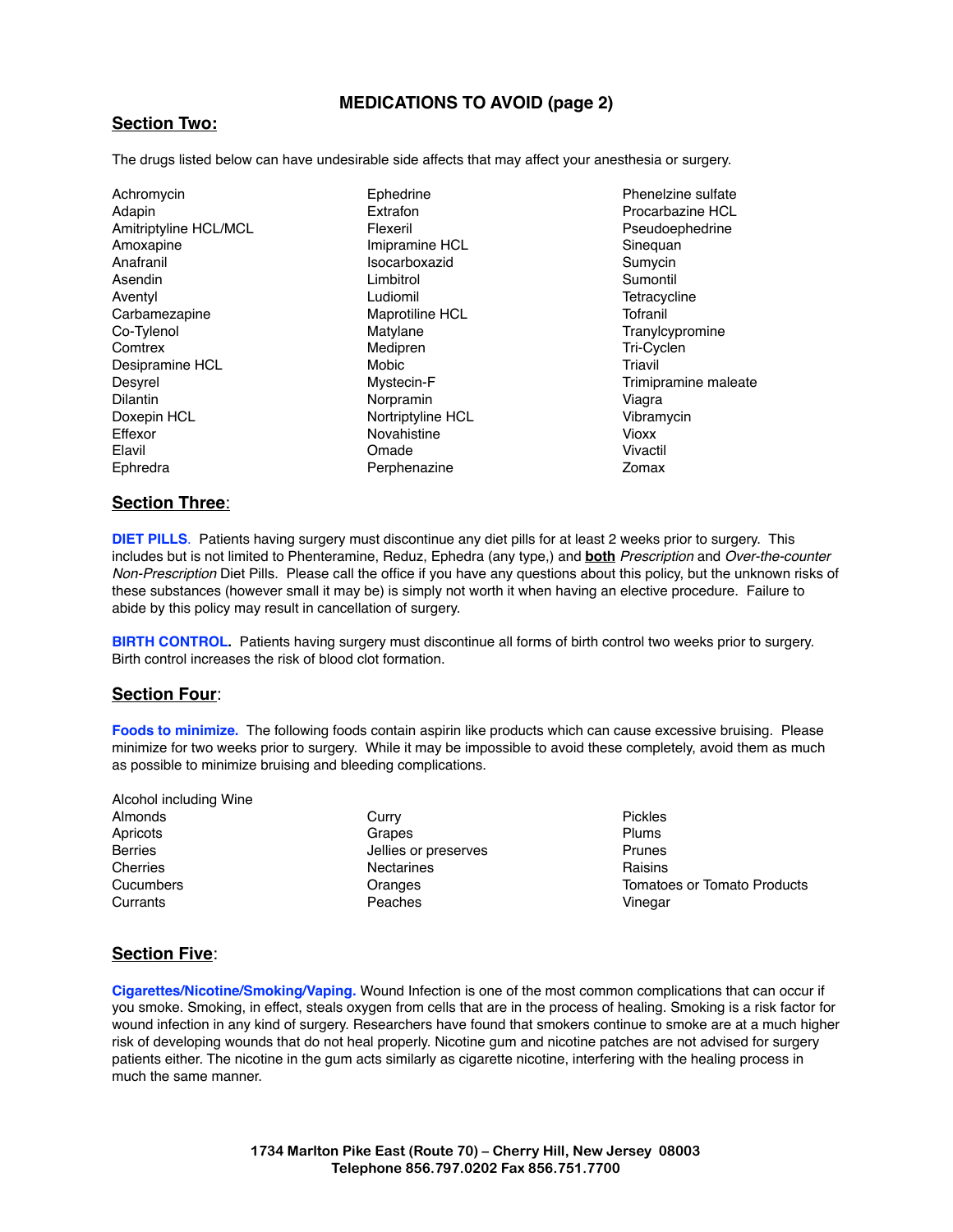#### **MEDICATIONS TO AVOID (page 2)**

#### **Section Two:**

The drugs listed below can have undesirable side affects that may affect your anesthesia or surgery.

| Achromycin            | Ephedrine         | Phen   |
|-----------------------|-------------------|--------|
| Adapin                | Extrafon          | Proca  |
| Amitriptyline HCL/MCL | Flexeril          | Pseu   |
| Amoxapine             | Imipramine HCL    | Sined  |
| Anafranil             | Isocarboxazid     | Sumy   |
| Asendin               | Limbitrol         | Sumo   |
| Aventyl               | Ludiomil          | Tetra  |
| Carbamezapine         | Maprotiline HCL   | Tofra  |
| Co-Tylenol            | Matylane          | Trany  |
| Comtrex               | Medipren          | Tri-C  |
| Desipramine HCL       | Mobic             | Triavi |
| Desyrel               | Mystecin-F        | Trimi  |
| <b>Dilantin</b>       | Norpramin         | Viagr  |
| Doxepin HCL           | Nortriptyline HCL | Vibra  |
| Effexor               | Novahistine       | Viox   |
| Elavil                | Omade             | Vivac  |
| Ephredra              | Perphenazine      | Zoma   |

elzine sulfate arbazine HCl doephedrine quan vcin ontil cycline Tofranil ylcypromine yclen il pramine maleate Viagra amycin Vioxx Vivactil Zomax

#### **Section Three**:

**DIET PILLS**. Patients having surgery must discontinue any diet pills for at least 2 weeks prior to surgery. This includes but is not limited to Phenteramine, Reduz, Ephedra (any type,) and **both** *Prescription* and *Over-the-counter Non-Prescription* Diet Pills. Please call the office if you have any questions about this policy, but the unknown risks of these substances (however small it may be) is simply not worth it when having an elective procedure. Failure to abide by this policy may result in cancellation of surgery.

**BIRTH CONTROL.** Patients having surgery must discontinue all forms of birth control two weeks prior to surgery. Birth control increases the risk of blood clot formation.

#### **Section Four**:

**Foods to minimize.** The following foods contain aspirin like products which can cause excessive bruising. Please minimize for two weeks prior to surgery. While it may be impossible to avoid these completely, avoid them as much as possible to minimize bruising and bleeding complications.

- Alcohol including Wine Almonds **Apricots** Berries **Cherries Cucumbers Currants**
- **Curry** Grapes Jellies or preserves Nectarines **Oranges** Peaches

Pickles Plums Prunes Raisins Tomatoes or Tomato Products Vinegar

#### **Section Five**:

**Cigarettes/Nicotine/Smoking/Vaping.** Wound Infection is one of the most common complications that can occur if you smoke. Smoking, in effect, steals oxygen from cells that are in the process of healing. Smoking is a risk factor for wound infection in any kind of surgery. Researchers have found that smokers continue to smoke are at a much higher risk of developing wounds that do not heal properly. Nicotine gum and nicotine patches are not advised for surgery patients either. The nicotine in the gum acts similarly as cigarette nicotine, interfering with the healing process in much the same manner.